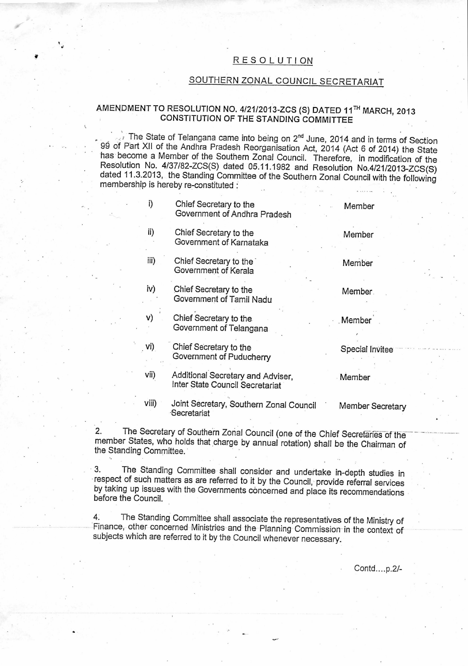## RESOLUTION

## SOUTHERN ZONAL COUNCIL SECRETARIAT

## AMENDMENT TO RESOLUTION NO. 4/21/2013-ZCS (S) DATED 11<sup>TH</sup> MARCH, 2013 CONSTITUTION OF THE STANDING COMMITTEE

 $\sim$  The State of Telangana came into being on 2<sup>nd</sup> June, 2014 and in terms of Section 99 of Part XII of the Andhra Pradesh Reorganisation Act, 2014 (Act 6 of 2014) the State has become a Member of the Southern Zonal Council. Therefore, in modification of the Resolution No. 4/37/82-ZCS(S) dated 05.11.1982 and Resolution No.4/21/2013-ZCS(S) dated 11.3.2013, the Standing Committee of the Southern Zonal Council with the following membership is hereby re-constituted :

|       | Chief Secretary to the<br>Government of Andhra Pradesh               | Member           |
|-------|----------------------------------------------------------------------|------------------|
| ii)   | Chief Secretary to the<br>Government of Karnataka                    | Member           |
| iii)  | Chief Secretary to the<br>Government of Kerala                       | Member           |
| iv)   | Chief Secretary to the<br>Government of Tamil Nadu                   | Member.          |
| V)    | Chief Secretary to the<br>Government of Telangana                    | Member           |
| vi)   | Chief Secretary to the<br>Government of Puducherry                   | Special Invitee  |
| vii)  | Additional Secretary and Adviser,<br>Inter State Council Secretariat | Member           |
| viii) | Joint Secretary, Southern Zonal Council<br>Secretariat               | Member Secretary |

2. The Secretary of Southern Zonal Council (one of the Chief Secretaries of the member States, who holds that charge by annual rotation) shall be the Chairman of the Standing Committee.

3. The Standing Committee shall consider and undertake in-depth studies in respect of such matters as are referred to it by the Council, provide referral services by taking up issues with the Governments concerned and place its recommendations before the Council.

4. The Standing Committee shall associate the representatives of the Ministry of Finance, other concerned Ministries and the Planning Commission in the context of subjects which are referred to it by the Council whenever necessary.

Contd....p.2/-